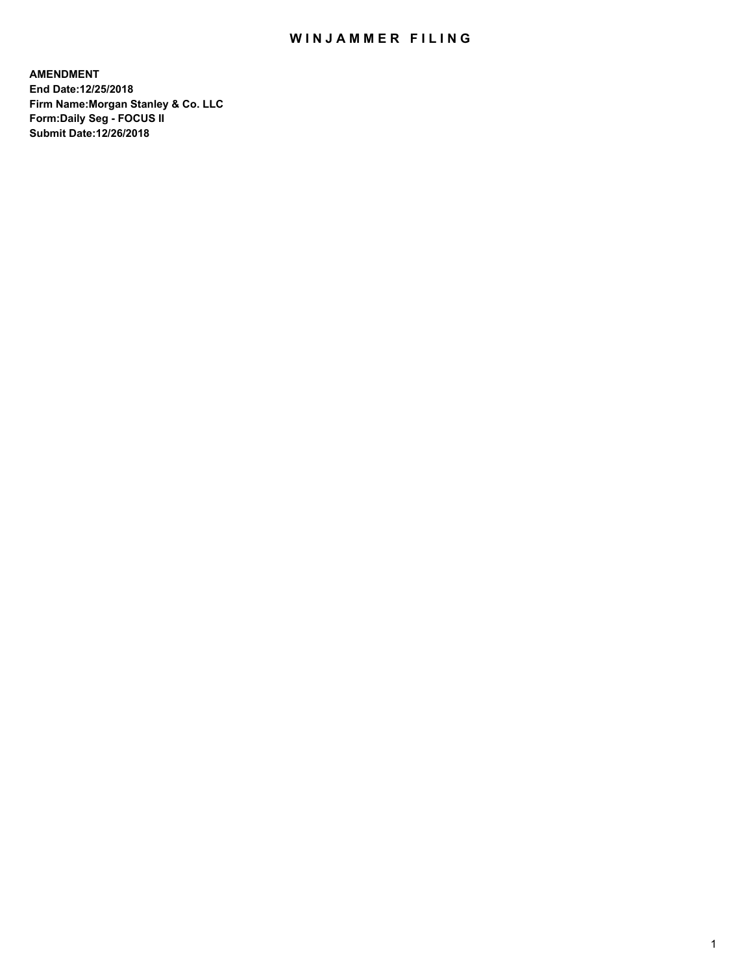# WIN JAMMER FILING

**AMENDMENT End Date:12/25/2018 Firm Name:Morgan Stanley & Co. LLC Form:Daily Seg - FOCUS II Submit Date:12/26/2018**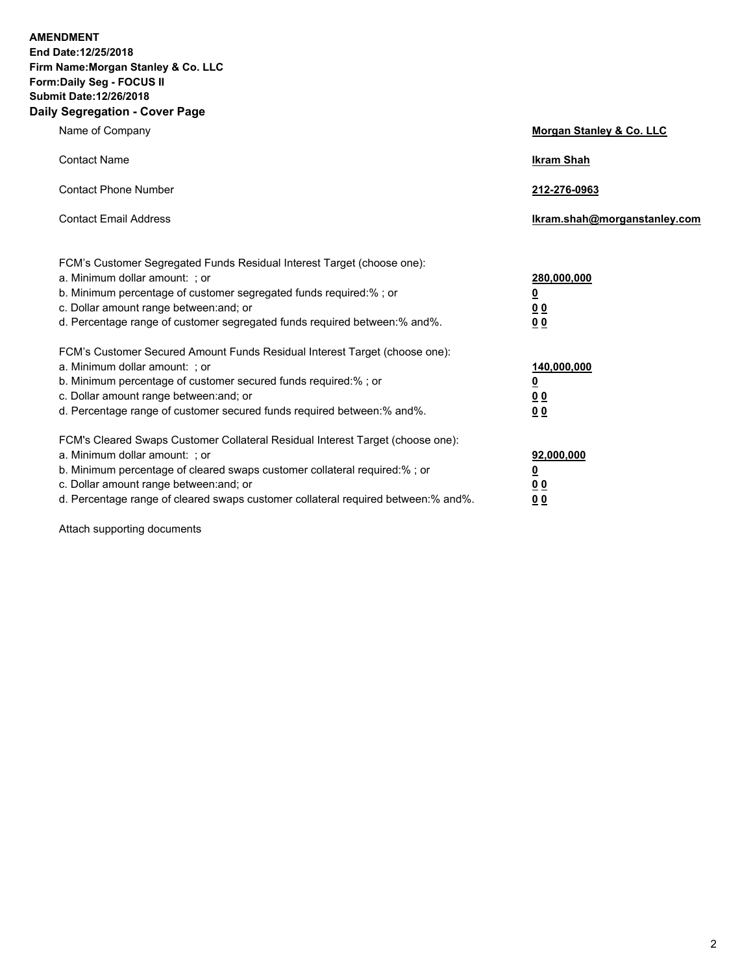**AMENDMENT End Date:12/25/2018** 

**Firm Name:Morgan Stanley & Co. LLC Form:Daily Seg - FOCUS II Submit Date:12/26/2018 Daily Segregation - Cover Page**

| y Jegregation - Cover rage                                                                                                                                                                                                                                                                                                     |                                                        |
|--------------------------------------------------------------------------------------------------------------------------------------------------------------------------------------------------------------------------------------------------------------------------------------------------------------------------------|--------------------------------------------------------|
| Name of Company                                                                                                                                                                                                                                                                                                                | Morgan Stanley & Co. LLC                               |
| <b>Contact Name</b>                                                                                                                                                                                                                                                                                                            | <b>Ikram Shah</b>                                      |
| <b>Contact Phone Number</b>                                                                                                                                                                                                                                                                                                    | 212-276-0963                                           |
| <b>Contact Email Address</b>                                                                                                                                                                                                                                                                                                   | Ikram.shah@morganstanley.com                           |
| FCM's Customer Segregated Funds Residual Interest Target (choose one):<br>a. Minimum dollar amount: ; or<br>b. Minimum percentage of customer segregated funds required:%; or<br>c. Dollar amount range between: and; or<br>d. Percentage range of customer segregated funds required between:% and%.                          | 280,000,000<br><u>0</u><br>0 <sub>0</sub><br>00        |
| FCM's Customer Secured Amount Funds Residual Interest Target (choose one):<br>a. Minimum dollar amount: ; or<br>b. Minimum percentage of customer secured funds required:%; or<br>c. Dollar amount range between: and; or<br>d. Percentage range of customer secured funds required between:% and%.                            | 140,000,000<br><u>0</u><br><u>00</u><br>0 <sub>0</sub> |
| FCM's Cleared Swaps Customer Collateral Residual Interest Target (choose one):<br>a. Minimum dollar amount: ; or<br>b. Minimum percentage of cleared swaps customer collateral required:% ; or<br>c. Dollar amount range between: and; or<br>d. Percentage range of cleared swaps customer collateral required between:% and%. | 92,000,000<br><u>0</u><br><u>00</u><br>00              |

Attach supporting documents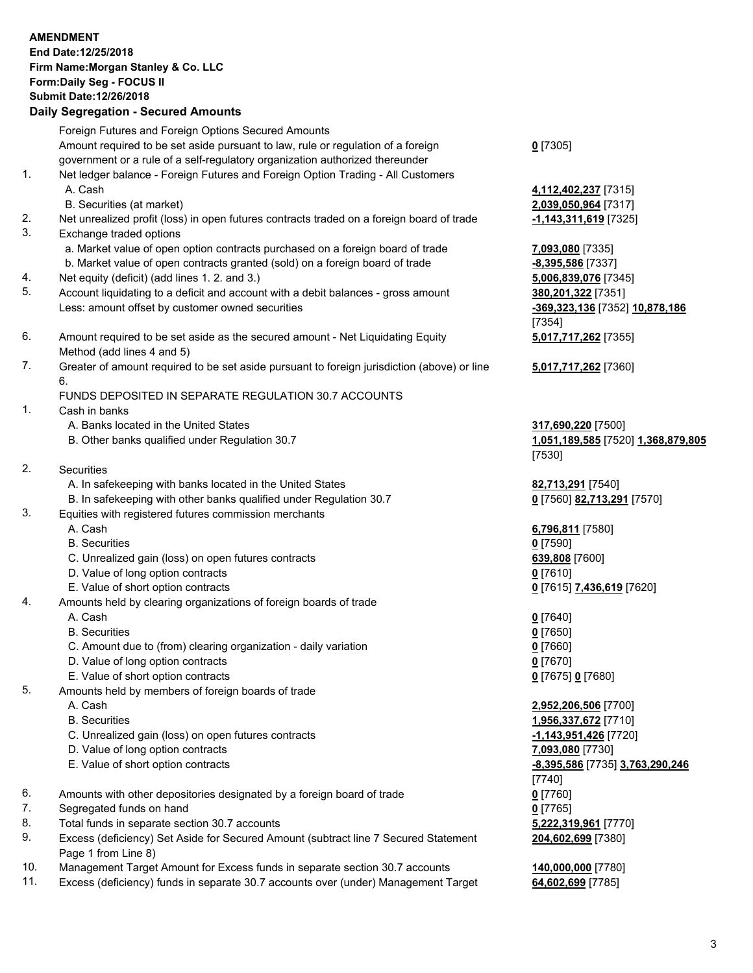## **AMENDMENT End Date:12/25/2018 Firm Name:Morgan Stanley & Co. LLC Form:Daily Seg - FOCUS II Submit Date:12/26/2018 Daily Segregation - Secured Amounts** Foreign Futures and Foreign Options Secured Amounts

Amount required to be set aside pursuant to law, rule or regulation of a foreign government or a rule of a self-regulatory organization authorized thereunder

- 1. Net ledger balance Foreign Futures and Foreign Option Trading All Customers A. Cash **4,112,402,237** [7315]
	- B. Securities (at market) **2,039,050,964** [7317]
- 2. Net unrealized profit (loss) in open futures contracts traded on a foreign board of trade **-1,143,311,619** [7325]
- 3. Exchange traded options
	- a. Market value of open option contracts purchased on a foreign board of trade **7,093,080** [7335]
	- b. Market value of open contracts granted (sold) on a foreign board of trade **-8,395,586** [7337]
- 4. Net equity (deficit) (add lines 1. 2. and 3.) **5,006,839,076** [7345]
- 5. Account liquidating to a deficit and account with a debit balances gross amount **380,201,322** [7351] Less: amount offset by customer owned securities **-369,323,136** [7352] **10,878,186**
- 6. Amount required to be set aside as the secured amount Net Liquidating Equity Method (add lines 4 and 5)
- 7. Greater of amount required to be set aside pursuant to foreign jurisdiction (above) or line 6.

### FUNDS DEPOSITED IN SEPARATE REGULATION 30.7 ACCOUNTS

- 1. Cash in banks
	- A. Banks located in the United States **317,690,220** [7500]
	- B. Other banks qualified under Regulation 30.7 **1,051,189,585** [7520] **1,368,879,805**
- 2. Securities
	- A. In safekeeping with banks located in the United States **82,713,291** [7540]
	- B. In safekeeping with other banks qualified under Regulation 30.7 **0** [7560] **82,713,291** [7570]
- 3. Equities with registered futures commission merchants
	-
	- B. Securities **0** [7590]
	- C. Unrealized gain (loss) on open futures contracts **639,808** [7600]
	- D. Value of long option contracts **0** [7610]
- E. Value of short option contracts **0** [7615] **7,436,619** [7620]
- 4. Amounts held by clearing organizations of foreign boards of trade
	- A. Cash **0** [7640]
	- B. Securities **0** [7650]
	- C. Amount due to (from) clearing organization daily variation **0** [7660]
	- D. Value of long option contracts **0** [7670]
	- E. Value of short option contracts **0** [7675] **0** [7680]
- 5. Amounts held by members of foreign boards of trade
	-
	-
	- C. Unrealized gain (loss) on open futures contracts **-1,143,951,426** [7720]
	- D. Value of long option contracts **7,093,080** [7730]
	- E. Value of short option contracts **-8,395,586** [7735] **3,763,290,246**
- 6. Amounts with other depositories designated by a foreign board of trade **0** [7760]
- 7. Segregated funds on hand **0** [7765]
- 8. Total funds in separate section 30.7 accounts **5,222,319,961** [7770]
- 9. Excess (deficiency) Set Aside for Secured Amount (subtract line 7 Secured Statement Page 1 from Line 8)
- 10. Management Target Amount for Excess funds in separate section 30.7 accounts **140,000,000** [7780]
- 11. Excess (deficiency) funds in separate 30.7 accounts over (under) Management Target **64,602,699** [7785]

**0** [7305]

[7354] **5,017,717,262** [7355]

**5,017,717,262** [7360]

[7530]

A. Cash **6,796,811** [7580]

 A. Cash **2,952,206,506** [7700] B. Securities **1,956,337,672** [7710] [7740] **204,602,699** [7380]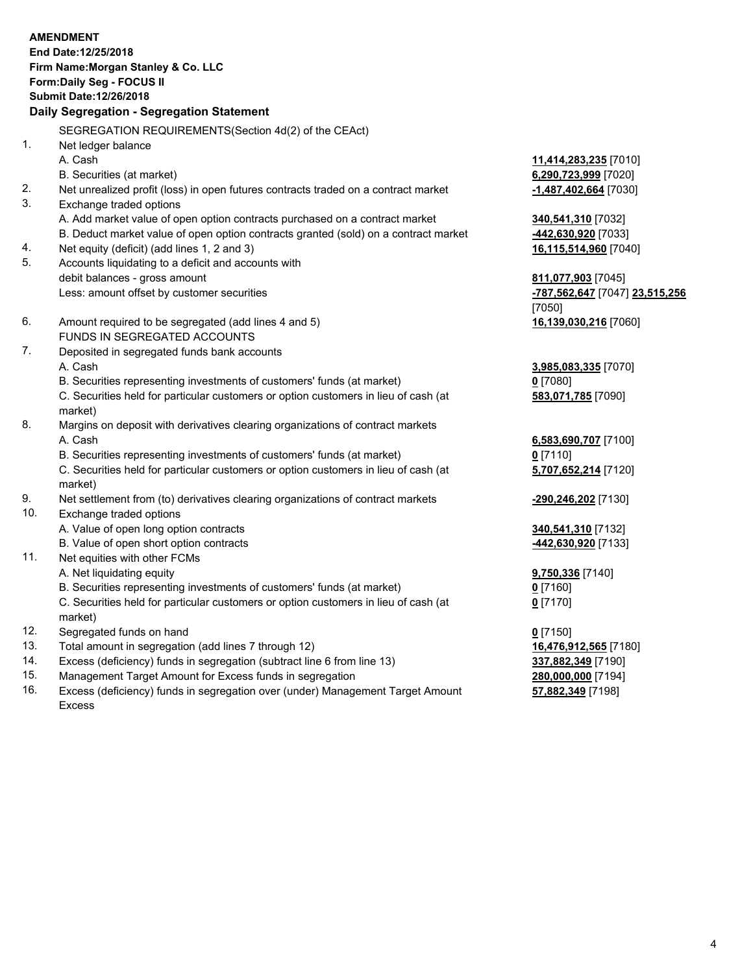#### **AMENDMENT End Date:12/25/2018 Firm Name:Morgan Stanley & Co. LLC Form:Daily Seg - FOCUS II Submit Date:12/26/2018 Daily Segregation - Segregation Statement** SEGREGATION REQUIREMENTS(Section 4d(2) of the CEAct) 1. Net ledger balance A. Cash **11,414,283,235** [7010] B. Securities (at market) **6,290,723,999** [7020] 2. Net unrealized profit (loss) in open futures contracts traded on a contract market **-1,487,402,664** [7030] 3. Exchange traded options A. Add market value of open option contracts purchased on a contract market **340,541,310** [7032] B. Deduct market value of open option contracts granted (sold) on a contract market **-442,630,920** [7033] 4. Net equity (deficit) (add lines 1, 2 and 3) **16,115,514,960** [7040] 5. Accounts liquidating to a deficit and accounts with debit balances - gross amount **811,077,903** [7045] Less: amount offset by customer securities **-787,562,647** [7047] **23,515,256** [7050] 6. Amount required to be segregated (add lines 4 and 5) **16,139,030,216** [7060] FUNDS IN SEGREGATED ACCOUNTS 7. Deposited in segregated funds bank accounts A. Cash **3,985,083,335** [7070] B. Securities representing investments of customers' funds (at market) **0** [7080] C. Securities held for particular customers or option customers in lieu of cash (at market) **583,071,785** [7090] 8. Margins on deposit with derivatives clearing organizations of contract markets A. Cash **6,583,690,707** [7100] B. Securities representing investments of customers' funds (at market) **0** [7110] C. Securities held for particular customers or option customers in lieu of cash (at market) **5,707,652,214** [7120] 9. Net settlement from (to) derivatives clearing organizations of contract markets **-290,246,202** [7130] 10. Exchange traded options A. Value of open long option contracts **340,541,310** [7132] B. Value of open short option contracts **-442,630,920** [7133] 11. Net equities with other FCMs A. Net liquidating equity

- B. Securities representing investments of customers' funds (at market)
- C. Securities held for particular customers or option customers in lieu of cash (at market)
- 12. Segregated funds on hand **0** [7150]
- 13. Total amount in segregation (add lines 7 through 12) **16,476,912,565** [7180]
- 14. Excess (deficiency) funds in segregation (subtract line 6 from line 13) **337,882,349** [7190]
- 15. Management Target Amount for Excess funds in segregation **280,000,000** [7194]
- 16. Excess (deficiency) funds in segregation over (under) Management Target Amount Excess

| <u>9,750,336</u> [7140] |  |
|-------------------------|--|
| <u>0</u> [7160]         |  |
| <u>0</u> [7170]         |  |
|                         |  |

**57,882,349** [7198]